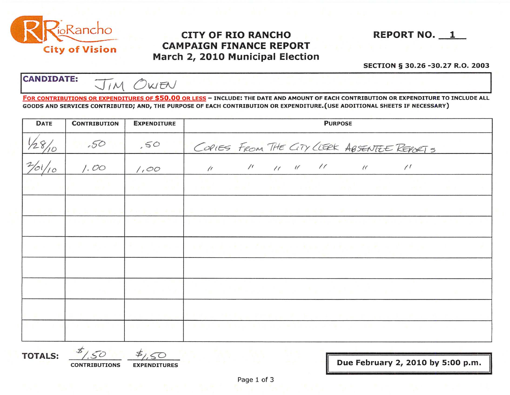

## **CITY OF RIO RANCHO CAMPAIGN FINANCE REPORT** March 2, 2010 Municipal Election

**REPORT NO. 1** 

## SECTION § 30.26 -30.27 R.O. 2003

**CANDIDATE:** OWEN  $\prod_{i} M$ 

FOR CONTRIBUTIONS OR EXPENDITURES OF \$50.00 OR LESS - INCLUDE: THE DATE AND AMOUNT OF EACH CONTRIBUTION OR EXPENDITURE TO INCLUDE ALL GOODS AND SERVICES CONTRIBUTED; AND, THE PURPOSE OF EACH CONTRIBUTION OR EXPENDITURE. (USE ADDITIONAL SHEETS IF NECESSARY)

| <b>DATE</b> | <b>CONTRIBUTION</b>                        | <b>EXPENDITURE</b>            | <b>PURPOSE</b>                                                                                         |  |  |
|-------------|--------------------------------------------|-------------------------------|--------------------------------------------------------------------------------------------------------|--|--|
| /28/10      | .50                                        | 50                            | COPIES FROM THE CITY LIERK ABSENTEE REPORTS                                                            |  |  |
|             | 1.00                                       | 1,00                          | $\prime\prime$ $\prime\prime$ $\prime\prime$ $\prime\prime$<br>$\prime$<br>$\frac{1}{2}$<br>$\sqrt{ }$ |  |  |
|             | <b>SECTION</b>                             | <b>BACK COMPANY</b>           | nieme" (metalli static) (metalli metalli metalli metalli metalli metalli metalli metalli metalli met   |  |  |
|             | <b>Contract Contract Contract Contract</b> | the control of the con-       | 지수는 아직 아이들은 아직도 아직 아직 사람들이 아직 아주 있다. 이 사람들은 어려운 것이 없어요.                                                |  |  |
|             |                                            | <b>CONTRACTOR</b>             | tarih postala u objavuje se za učina sa postala s postala u postala                                    |  |  |
|             | .                                          | the company of the company of | n a film die troch fact als ein das afgebiet in Frederick (* 141 apr                                   |  |  |
|             |                                            |                               |                                                                                                        |  |  |
|             |                                            | na an Alba                    | アンティック アイティー きょうどうどう アール・シート                                                                           |  |  |
|             |                                            |                               |                                                                                                        |  |  |
|             | <b>All Service</b>                         | <b>ALCOHOL: NOR</b>           |                                                                                                        |  |  |

**TOTALS:** 

 $50$ 

**CONTRIBUTIONS EXPENDITURES**  Due February 2, 2010 by 5:00 p.m.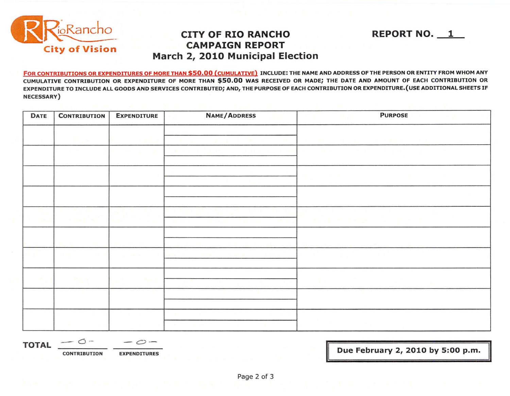

## Final **CITY OF RIO RANCHO** REPORT NO. 1 **March 2, 2010 Municipal Election**

FOR CONTRIBUTIONS OR EXPENDITURES OF MORE THAN \$50.00 (CUMULATIVE) INCLUDE: THE NAME AND ADDRESS OF THE PERSON OR ENTITY FROM WHOM ANY CUMULATIVE CONTRIBUTION OR EXPENDITURE OF MORE THAN \$50.00 WAS RECEIVED OR MADE; THE DATE AND AMOUNT OF EACH CONTRIBUTION OR EXPENDITURE TO INCLUDE ALL GOODS AND SERVICES CONTRIBUTED; AND, THE PURPOSE OF EACH CONTRIBUTION OR EXPENDITURE.{USE ADDITIONAL SHEETS IF NECESSARY)

| <b>DATE</b> | <b>CONTRIBUTION</b> | <b>EXPENDITURE</b> | NAME/ADDRESS<br><b>AGE A</b> | <b>PURPOSE</b>               |
|-------------|---------------------|--------------------|------------------------------|------------------------------|
|             |                     |                    |                              |                              |
|             |                     |                    |                              |                              |
|             |                     |                    |                              |                              |
|             |                     |                    |                              |                              |
|             | <b>CARD CALL</b>    |                    |                              | <b>Bandar St. Sandar St.</b> |
|             |                     |                    |                              |                              |
|             |                     |                    |                              |                              |
|             | Page in             | <b>Page 6</b>      |                              |                              |
|             |                     |                    |                              |                              |
|             |                     |                    |                              |                              |

**TOTAL**  $\begin{array}{|c|c|c|c|c|}\hline \textbf{1} & \multicolumn{2}{c|}{\textbf{1}} & \multicolumn{2}{c|}{\textbf{1}} & \multicolumn{2}{c|}{\textbf{1}} & \multicolumn{2}{c|}{\textbf{1}} & \multicolumn{2}{c|}{\textbf{1}} & \multicolumn{2}{c|}{\textbf{1}} & \multicolumn{2}{c|}{\textbf{1}} & \multicolumn{2}{c|}{\textbf{1}} & \multicolumn{2}{c|}{\textbf{1}} & \multicolumn{2}{c|}{\textbf{1}} & \multicolumn{2}{c|}{\textbf{1}} &$ 

**IDUE FEBRUTION CONTRIBUTION EXPENDITURES IDUE <b>III** DUE FEBRUARY 2, 2010 by 5:00 p.m.

**II**